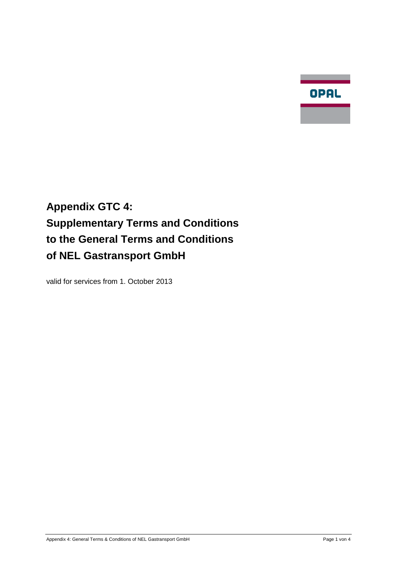**Contract Contract** OPAL

# **Appendix GTC 4: Supplementary Terms and Conditions to the General Terms and Conditions of NEL Gastransport GmbH**

valid for services from 1. October 2013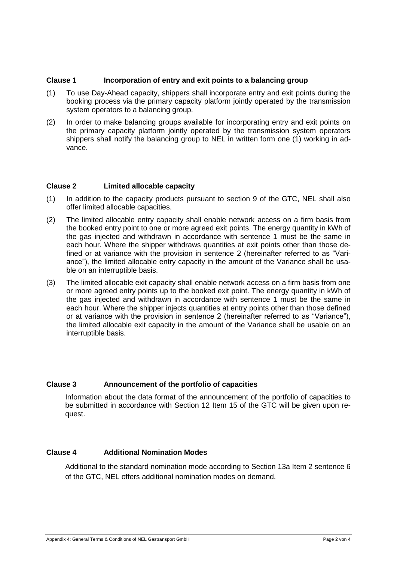## **Clause 1 Incorporation of entry and exit points to a balancing group**

- (1) To use Day-Ahead capacity, shippers shall incorporate entry and exit points during the booking process via the primary capacity platform jointly operated by the transmission system operators to a balancing group.
- (2) In order to make balancing groups available for incorporating entry and exit points on the primary capacity platform jointly operated by the transmission system operators shippers shall notify the balancing group to NEL in written form one (1) working in advance.

## **Clause 2 Limited allocable capacity**

- (1) In addition to the capacity products pursuant to section 9 of the GTC, NEL shall also offer limited allocable capacities.
- (2) The limited allocable entry capacity shall enable network access on a firm basis from the booked entry point to one or more agreed exit points. The energy quantity in kWh of the gas injected and withdrawn in accordance with sentence 1 must be the same in each hour. Where the shipper withdraws quantities at exit points other than those defined or at variance with the provision in sentence 2 (hereinafter referred to as "Variance"), the limited allocable entry capacity in the amount of the Variance shall be usable on an interruptible basis.
- (3) The limited allocable exit capacity shall enable network access on a firm basis from one or more agreed entry points up to the booked exit point. The energy quantity in kWh of the gas injected and withdrawn in accordance with sentence 1 must be the same in each hour. Where the shipper injects quantities at entry points other than those defined or at variance with the provision in sentence 2 (hereinafter referred to as "Variance"), the limited allocable exit capacity in the amount of the Variance shall be usable on an interruptible basis.

## **Clause 3 Announcement of the portfolio of capacities**

Information about the data format of the announcement of the portfolio of capacities to be submitted in accordance with Section 12 Item 15 of the GTC will be given upon request.

# **Clause 4 Additional Nomination Modes**

Additional to the standard nomination mode according to Section 13a Item 2 sentence 6 of the GTC, NEL offers additional nomination modes on demand.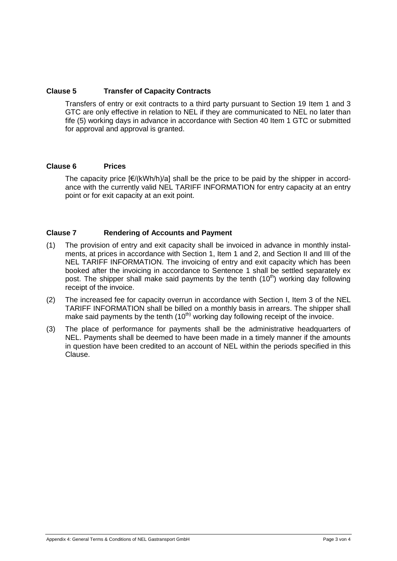## **Clause 5 Transfer of Capacity Contracts**

Transfers of entry or exit contracts to a third party pursuant to Section 19 Item 1 and 3 GTC are only effective in relation to NEL if they are communicated to NEL no later than fife (5) working days in advance in accordance with Section 40 Item 1 GTC or submitted for approval and approval is granted.

## **Clause 6 Prices**

The capacity price  $E/(kWh/h)/a$ ] shall be the price to be paid by the shipper in accordance with the currently valid NEL TARIFF INFORMATION for entry capacity at an entry point or for exit capacity at an exit point.

## **Clause 7 Rendering of Accounts and Payment**

- (1) The provision of entry and exit capacity shall be invoiced in advance in monthly instalments, at prices in accordance with Section 1, Item 1 and 2, and Section II and III of the NEL TARIFF INFORMATION. The invoicing of entry and exit capacity which has been booked after the invoicing in accordance to Sentence 1 shall be settled separately ex post. The shipper shall make said payments by the tenth  $(10<sup>th</sup>)$  working day following receipt of the invoice.
- (2) The increased fee for capacity overrun in accordance with Section I, Item 3 of the NEL TARIFF INFORMATION shall be billed on a monthly basis in arrears. The shipper shall make said payments by the tenth  $(10<sup>th</sup>)$  working day following receipt of the invoice.
- (3) The place of performance for payments shall be the administrative headquarters of NEL. Payments shall be deemed to have been made in a timely manner if the amounts in question have been credited to an account of NEL within the periods specified in this Clause.